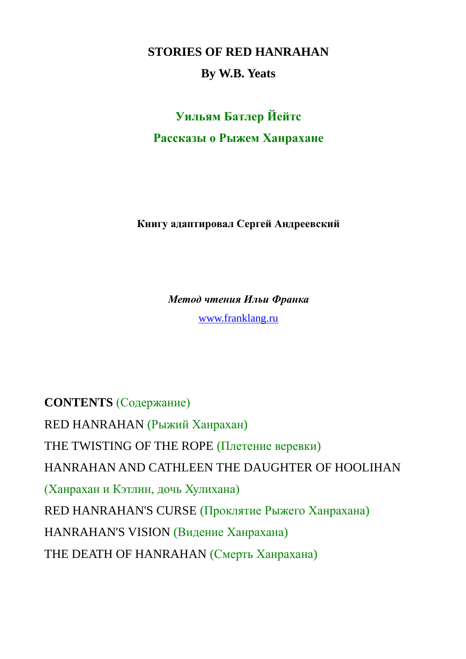**STORIES OF RED HANRAHAN**

#### **By W.B. Yeats**

# **Уильям Батлер Йейтс Рассказы о Рыжем Ханрахане**

**Книгу адаптировал Сергей Андреевский**

*Метод чтения Ильи Франка*

[www.franklang.ru](http://www.franklang.ru/)

**CONTENTS** (Содержание) RED HANRAHAN (Рыжий Ханрахан) THE TWISTING OF THE ROPE (Плетение веревки) HANRAHAN AND CATHLEEN THE DAUGHTER OF HOOLIHAN (Ханрахан и Кэтлин, дочь Хулихана) RED HANRAHAN'S CURSE (Проклятие Рыжего Ханрахана) HANRAHAN'S VISION (Видение Ханрахана) THE DEATH OF HANRAHAN (Смерть Ханрахана)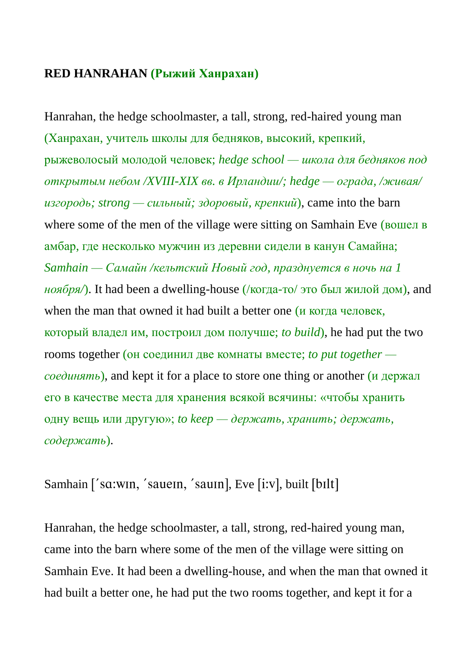#### **RED HANRAHAN (Рыжий Ханрахан)**

Hanrahan, the hedge schoolmaster, a tall, strong, red-haired young man (Ханрахан, учитель школы для бедняков, высокий, крепкий, рыжеволосый молодой человек; *hedge school — школа для бедняков под открытым небом /XVIII-XIX вв. в Ирландии/; hedge — ограда, /живая/ изгородь; strong — сильный; здоровый, крепкий*), came into the barn where some of the men of the village were sitting on Samhain Eve (вошел в амбар, где несколько мужчин из деревни сидели в канун Самайна; *Samhain — Самайн /кельтский Новый год, празднуется в ночь на 1 ноября/*). It had been a dwelling-house (/когда-то/ это был жилой дом), and when the man that owned it had built a better one (*и* когда человек, который владел им, построил дом получше; *to build*), he had put the two rooms together (он соединил две комнаты вместе; *to put together соединять*), and kept it for a place to store one thing or another (и держал его в качестве места для хранения всякой всячины: «чтобы хранить одну вещь или другую»; *to keep — держать, хранить; держать, содержать*).

### Samhain ['sɑ:wɪn, 'saueɪn, 'sauɪn], Eve [i:v], built [bɪlt]

Hanrahan, the hedge schoolmaster, a tall, strong, red-haired young man, came into the barn where some of the men of the village were sitting on Samhain Eve. It had been a dwelling-house, and when the man that owned it had built a better one, he had put the two rooms together, and kept it for a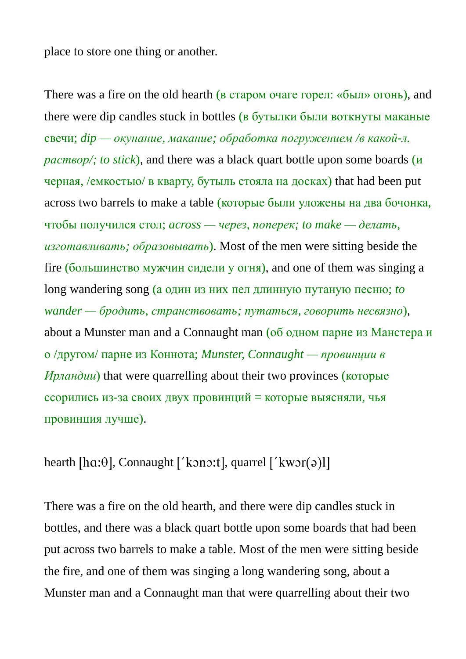place to store one thing or another.

There was a fire on the old hearth (в старом очаге горел: «был» огонь), and there were dip candles stuck in bottles (в бутылки были воткнуты маканые свечи; *dip — окунание, макание; обработка погружением /в какой-л. раствор/; to stick*), and there was a black quart bottle upon some boards (и черная, /емкостью/ в кварту, бутыль стояла на досках) that had been put across two barrels to make a table (которые были уложены на два бочонка, чтобы получился стол; *across — через, поперек; to make — делать, изготавливать; образовывать*). Most of the men were sitting beside the fire (большинство мужчин сидели у огня), and one of them was singing a long wandering song (а один из них пел длинную путаную песню; *to wander — бродить, странствовать; путаться, говорить несвязно*), about a Munster man and a Connaught man (об одном парне из Манстера и о /другом/ парне из Коннота; *Munster, Connaught — провинции в Ирландии*) that were quarrelling about their two provinces (которые ссорились из-за своих двух провинций = которые выясняли, чья провинция лучше).

### hearth [hɑ: $\theta$ ], Connaught ['kɔnɔ:t], quarrel ['kwɔr(ə)l]

There was a fire on the old hearth, and there were dip candles stuck in bottles, and there was a black quart bottle upon some boards that had been put across two barrels to make a table. Most of the men were sitting beside the fire, and one of them was singing a long wandering song, about a Munster man and a Connaught man that were quarrelling about their two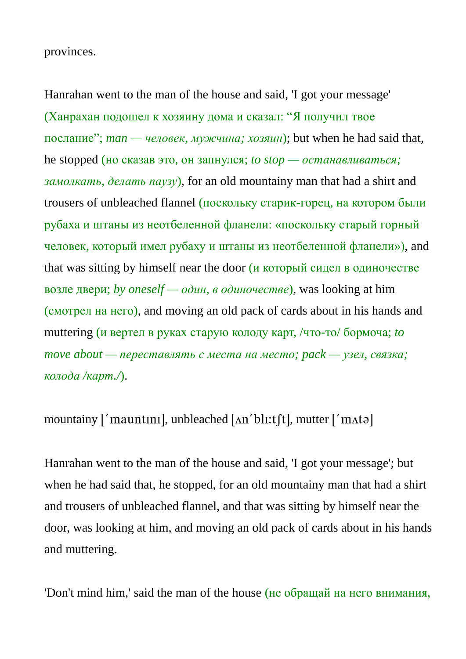provinces.

Hanrahan went to the man of the house and said, 'I got your message' (Ханрахан подошел к хозяину дома и сказал: "Я получил твое послание"; *man — человек, мужчина; хозяин*); but when he had said that, he stopped (но сказав это, он запнулся; *to stop — останавливаться; замолкать, делать паузу*), for an old mountainy man that had a shirt and trousers of unbleached flannel (поскольку старик-горец, на котором были рубаха и штаны из неотбеленной фланели: «поскольку старый горный человек, который имел рубаху и штаны из неотбеленной фланели»), and that was sitting by himself near the door (и который сидел в одиночестве возле двери; *by oneself — один, в одиночестве*), was looking at him (смотрел на него), and moving an old pack of cards about in his hands and muttering (и вертел в руках старую колоду карт, /что-то/ бормоча; *to move about — переставлять с места на место; pack — узел, связка; колода /карт./*).

mountainy  $\lceil$  mauntini, unbleached  $\lceil$  An'bli:t $\lceil$ t $\lceil$ , mutter  $\lceil$  mAt $\lceil$ 

Hanrahan went to the man of the house and said, 'I got your message'; but when he had said that, he stopped, for an old mountainy man that had a shirt and trousers of unbleached flannel, and that was sitting by himself near the door, was looking at him, and moving an old pack of cards about in his hands and muttering.

'Don't mind him,' said the man of the house (не обращай на него внимания,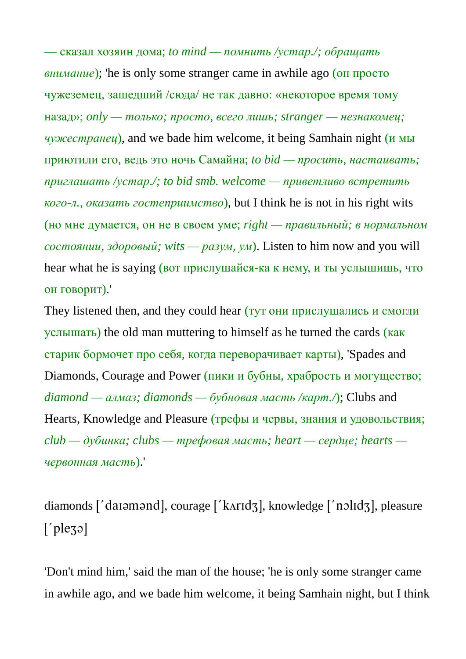— сказал хозяин дома; *to mind — помнить /устар./; обращать внимание*); 'he is only some stranger came in awhile ago (он просто чужеземец, зашедший /сюда/ не так давно: «некоторое время тому назад»; *only — только; просто, всего лишь; stranger — незнакомец; чужестранец*), and we bade him welcome, it being Samhain night (и мы приютили его, ведь это ночь Самайна; *to bid — просить, настаивать; приглашать /устар./; to bid smb. welcome — приветливо встретить кого-л., оказать гостеприимство*), but I think he is not in his right wits (но мне думается, он не в своем уме; *right — правильный; в нормальном состоянии, здоровый; wits — разум, ум*). Listen to him now and you will hear what he is saying (вот прислушайся-ка к нему, и ты услышишь, что он говорит).'

They listened then, and they could hear (тут они прислушались и смогли услышать) the old man muttering to himself as he turned the cards (как старик бормочет про себя, когда переворачивает карты), 'Spades and Diamonds, Courage and Power (пики и бубны, храбрость и могущество; *diamond — алмаз; diamonds — бубновая масть /карт./*); Clubs and Hearts, Knowledge and Pleasure (трефы и червы, знания и удовольствия; *club — дубинка; clubs — трефовая масть; heart — сердце; hearts червонная масть*).'

diamonds ['daiamand], courage ['kʌridʒ], knowledge ['nɔlidʒ], pleasure  $[\rho$ lezal

'Don't mind him,' said the man of the house; 'he is only some stranger came in awhile ago, and we bade him welcome, it being Samhain night, but I think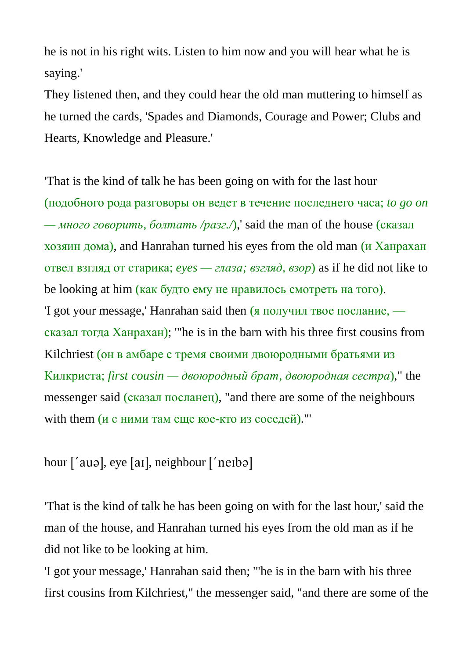he is not in his right wits. Listen to him now and you will hear what he is saying.'

They listened then, and they could hear the old man muttering to himself as he turned the cards, 'Spades and Diamonds, Courage and Power; Clubs and Hearts, Knowledge and Pleasure.'

'That is the kind of talk he has been going on with for the last hour (подобного рода разговоры он ведет в течение последнего часа; *to go on — много говорить, болтать /разг./*),' said the man of the house (сказал хозяин дома), and Hanrahan turned his eyes from the old man (и Ханрахан отвел взгляд от старика; *eyes — глаза; взгляд, взор*) as if he did not like to be looking at him (как будто ему не нравилось смотреть на того). 'I got your message,' Hanrahan said then (я получил твое послание, сказал тогда Ханрахан); '"he is in the barn with his three first cousins from Kilchriest (он в амбаре с тремя своими двоюродными братьями из Килкриста; *first cousin — двоюродный брат, двоюродная сестра*)," the messenger said (сказал посланец), "and there are some of the neighbours with them (и с ними там еще кое-кто из соседей)."'

hour ['auə], eye [aɪ], neighbour ['neɪbə]

'That is the kind of talk he has been going on with for the last hour,' said the man of the house, and Hanrahan turned his eyes from the old man as if he did not like to be looking at him.

'I got your message,' Hanrahan said then; '"he is in the barn with his three first cousins from Kilchriest," the messenger said, "and there are some of the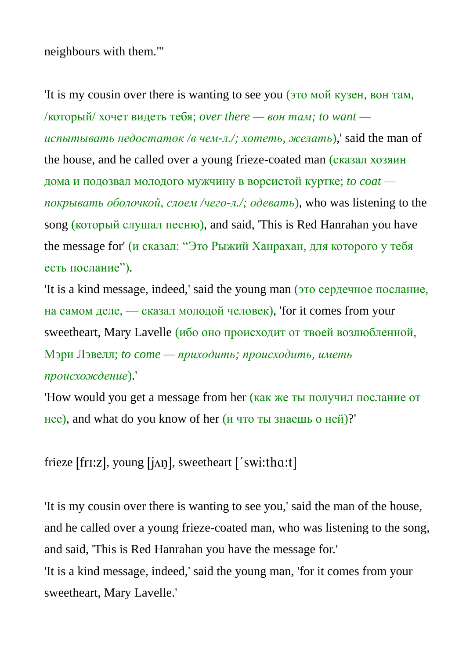neighbours with them."'

'It is my cousin over there is wanting to see you (это мой кузен, вон там, /который/ хочет видеть тебя; *over there — вон там; to want испытывать недостаток /в чем-л./; хотеть, желать*),' said the man of the house, and he called over a young frieze-coated man (сказал хозяин дома и подозвал молодого мужчину в ворсистой куртке; *to coat покрывать оболочкой, слоем /чего-л./; одевать*), who was listening to the song (который слушал песню), and said, 'This is Red Hanrahan you have the message for' (и сказал: "Это Рыжий Ханрахан, для которого у тебя есть послание").

'It is a kind message, indeed,' said the young man (это сердечное послание, на самом деле, — сказал молодой человек), 'for it comes from your sweetheart, Mary Lavelle (ибо оно происходит от твоей возлюбленной, Мэри Лэвелл; *to come — приходить; происходить, иметь происхождение*).'

'How would you get a message from her (как же ты получил послание от нее), and what do you know of her (и что ты знаешь о ней)?'

frieze [fri:z], young [j $\Delta$ n], sweetheart ['swi:tha:t]

'It is my cousin over there is wanting to see you,' said the man of the house, and he called over a young frieze-coated man, who was listening to the song, and said, 'This is Red Hanrahan you have the message for.'

'It is a kind message, indeed,' said the young man, 'for it comes from your sweetheart, Mary Lavelle.'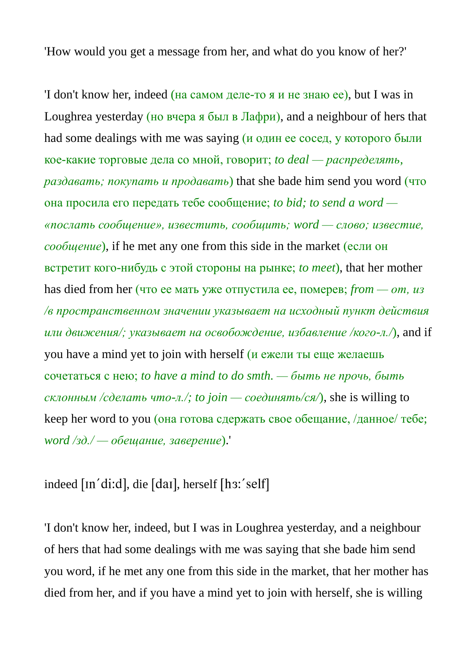'How would you get a message from her, and what do you know of her?'

'I don't know her, indeed (на самом деле-то я и не знаю ее), but I was in Loughrea yesterday (но вчера я был в Лафри), and a neighbour of hers that had some dealings with me was saying (и один ее сосед, у которого были кое-какие торговые дела со мной, говорит; *to deal — распределять, раздавать; покупать и продавать*) that she bade him send you word (что она просила его передать тебе сообщение; *to bid; to send a word — «послать сообщение», известить, сообщить; word — слово; известие, сообщение*), if he met any one from this side in the market (если он встретит кого-нибудь с этой стороны на рынке; *to meet*), that her mother has died from her (что ее мать уже отпустила ее, померев; *from — от, из /в пространственном значении указывает на исходный пункт действия или движения/; указывает на освобождение, избавление /кого-л./*), and if you have a mind yet to join with herself (и ежели ты еще желаешь сочетаться с нею; *to have a mind to do smth. — быть не прочь, быть склонным /сделать что-л./; to join — соединять/ся/*), she is willing to keep her word to you (она готова сдержать свое обещание, /данное/ тебе; *word /зд./ — обещание, заверение*).'

indeed [In'di:d], die [daI], herself [h3:'self]

'I don't know her, indeed, but I was in Loughrea yesterday, and a neighbour of hers that had some dealings with me was saying that she bade him send you word, if he met any one from this side in the market, that her mother has died from her, and if you have a mind yet to join with herself, she is willing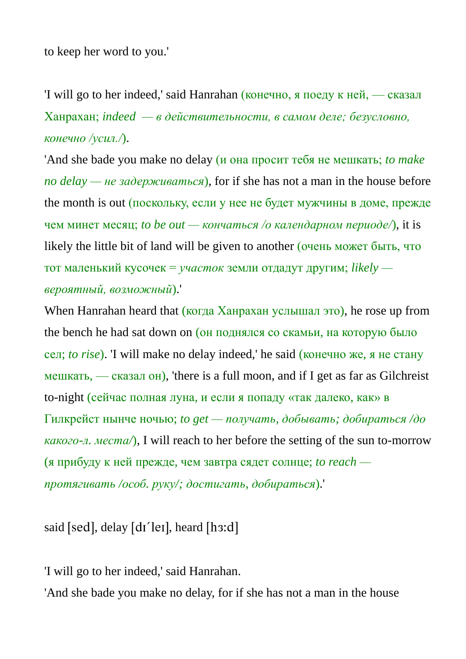to keep her word to you.'

'I will go to her indeed,' said Hanrahan (конечно, я поеду к ней, — сказал Ханрахан; *indeed — в действительности, в самом деле; безусловно, конечно /усил./*).

'And she bade you make no delay (и она просит тебя не мешкать; *to make no delay — не задерживаться*), for if she has not a man in the house before the month is out (поскольку, если у нее не будет мужчины в доме, прежде чем минет месяц; *to be out — кончаться /о календарном периоде/*), it is likely the little bit of land will be given to another (очень может быть, что тот маленький кусочек = *участок* земли отдадут другим; *likely вероятный, возможный*).'

When Hanrahan heard that (когда Ханрахан услышал это), he rose up from the bench he had sat down on (он поднялся со скамьи, на которую было сел; *to rise*). 'I will make no delay indeed,' he said (конечно же, я не стану мешкать, — сказал он), 'there is a full moon, and if I get as far as Gilchreist to-night (сейчас полная луна, и если я попаду «так далеко, как» в Гилкрейст нынче ночью; *to get — получать, добывать; добираться /до какого-л. места/*), I will reach to her before the setting of the sun to-morrow (я прибуду к ней прежде, чем завтра сядет солнце; *to reach протягивать /особ. руку/; достигать, добираться*).'

said [sed], delay [dɪ'leɪ], heard [h3:d]

'I will go to her indeed,' said Hanrahan.

'And she bade you make no delay, for if she has not a man in the house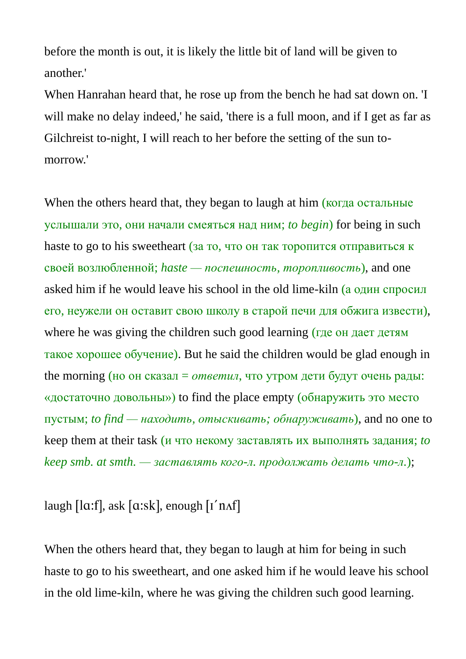before the month is out, it is likely the little bit of land will be given to another.'

When Hanrahan heard that, he rose up from the bench he had sat down on. 'I will make no delay indeed,' he said, 'there is a full moon, and if I get as far as Gilchreist to-night, I will reach to her before the setting of the sun tomorrow.'

When the others heard that, they began to laugh at him (когда остальные услышали это, они начали смеяться над ним; *to begin*) for being in such haste to go to his sweetheart (за то, что он так торопится отправиться к своей возлюбленной; *haste — поспешность, торопливость*), and one asked him if he would leave his school in the old lime-kiln (а один спросил его, неужели он оставит свою школу в старой печи для обжига извести), where he was giving the children such good learning (где он дает детям такое хорошее обучение). But he said the children would be glad enough in the morning (но он сказал = *ответил*, что утром дети будут очень рады: «достаточно довольны») to find the place empty (обнаружить это место пустым; *to find — находить, отыскивать; обнаруживать*), and no one to keep them at their task (и что некому заставлять их выполнять задания; *to keep smb. at smth. — заставлять кого-л. продолжать делать что-л.*);

laugh  $\lceil \ln(1) \rceil$ , ask  $\lceil \ln(1) \rceil$ , enough  $\lceil 1 \rceil \ln(1)$ 

When the others heard that, they began to laugh at him for being in such haste to go to his sweetheart, and one asked him if he would leave his school in the old lime-kiln, where he was giving the children such good learning.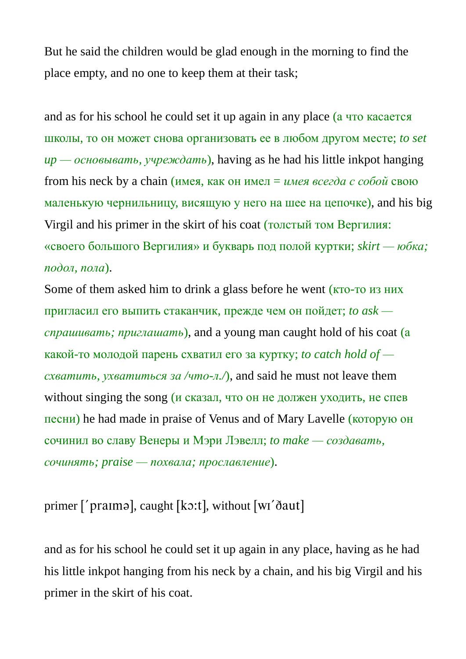But he said the children would be glad enough in the morning to find the place empty, and no one to keep them at their task;

and as for his school he could set it up again in any place (а что касается школы, то он может снова организовать ее в любом другом месте; *to set up — основывать, учреждать*), having as he had his little inkpot hanging from his neck by a chain (имея, как он имел = *имея всегда с собой* свою маленькую чернильницу, висящую у него на шее на цепочке), and his big Virgil and his primer in the skirt of his coat (толстый том Вергилия: «своего большого Вергилия» и букварь под полой куртки; *skirt — юбка; подол, пола*).

Some of them asked him to drink a glass before he went (кто-то из них пригласил его выпить стаканчик, прежде чем он пойдет; *to ask спрашивать; приглашать*), and a young man caught hold of his coat (а какой-то молодой парень схватил его за куртку; *to catch hold of схватить, ухватиться за /что-л./*), and said he must not leave them without singing the song (*и сказал*, что он не должен уходить, не спев песни) he had made in praise of Venus and of Mary Lavelle (которую он сочинил во славу Венеры и Мэри Лэвелл; *to make — создавать, сочинять; praise — похвала; прославление*).

primer ['praima], caught [kɔ:t], without [wi'ðaut]

and as for his school he could set it up again in any place, having as he had his little inkpot hanging from his neck by a chain, and his big Virgil and his primer in the skirt of his coat.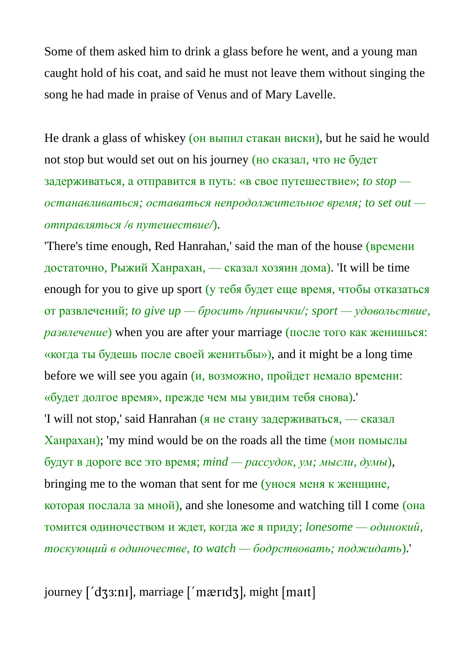Some of them asked him to drink a glass before he went, and a young man caught hold of his coat, and said he must not leave them without singing the song he had made in praise of Venus and of Mary Lavelle.

He drank a glass of whiskey (он выпил стакан виски), but he said he would not stop but would set out on his journey (но сказал, что не будет задерживаться, а отправится в путь: «в свое путешествие»; *to stop останавливаться; оставаться непродолжительное время; to set out отправляться /в путешествие/*).

'There's time enough, Red Hanrahan,' said the man of the house (времени достаточно, Рыжий Ханрахан, — сказал хозяин дома). 'It will be time enough for you to give up sport (у тебя будет еще время, чтобы отказаться от развлечений; *to give up — бросить /привычки/; sport — удовольствие, развлечение*) when you are after your marriage (после того как женишься: «когда ты будешь после своей женитьбы»), and it might be a long time before we will see you again  $(u,$  возможно, пройдет немало времени: «будет долгое время», прежде чем мы увидим тебя снова).'

'I will not stop,' said Hanrahan (я не стану задерживаться, — сказал Ханрахан); 'my mind would be on the roads all the time (мои помыслы будут в дороге все это время; *mind — рассудок, ум; мысли, думы*), bringing me to the woman that sent for me (унося меня к женщине, которая послала за мной), and she lonesome and watching till I come (она томится одиночеством и ждет, когда же я приду; *lonesome — одинокий, тоскующий в одиночестве, to watch — бодрствовать; поджидать*).'

journey ['dʒ3:nɪ], marriage ['mærɪdʒ], might [maɪt]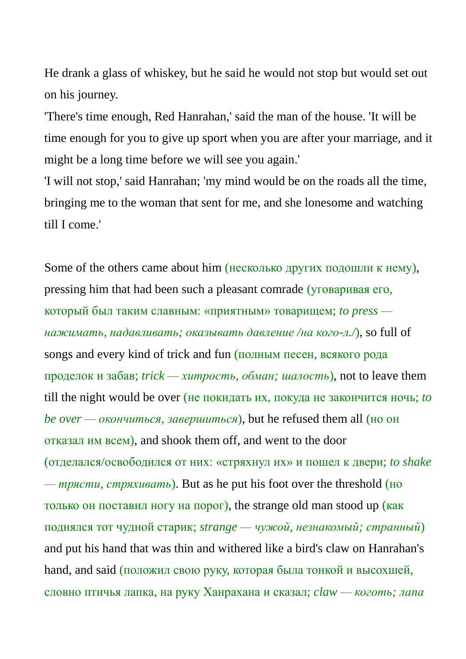He drank a glass of whiskey, but he said he would not stop but would set out on his journey.

'There's time enough, Red Hanrahan,' said the man of the house. 'It will be time enough for you to give up sport when you are after your marriage, and it might be a long time before we will see you again.'

'I will not stop,' said Hanrahan; 'my mind would be on the roads all the time, bringing me to the woman that sent for me, and she lonesome and watching till I come.'

Some of the others came about him (несколько других подошли к нему), pressing him that had been such a pleasant comrade (уговаривая его, который был таким славным: «приятным» товарищем; *to press нажимать, надавливать; оказывать давление /на кого-л./*), so full of songs and every kind of trick and fun (полным песен, всякого рода проделок и забав; *trick — хитрость, обман; шалость*), not to leave them till the night would be over (не покидать их, покуда не закончится ночь; *to be over — окончиться, завершиться*), but he refused them all (но он отказал им всем), and shook them off, and went to the door (отделался/освободился от них: «стряхнул их» и пошел к двери; *to shake — трясти, стряхивать*). But as he put his foot over the threshold (но только он поставил ногу на порог), the strange old man stood up (как поднялся тот чудной старик; *strange — чужой, незнакомый; странный*) and put his hand that was thin and withered like a bird's claw on Hanrahan's hand, and said (положил свою руку, которая была тонкой и высохшей, словно птичья лапка, на руку Ханрахана и сказал; *claw — коготь; лапа*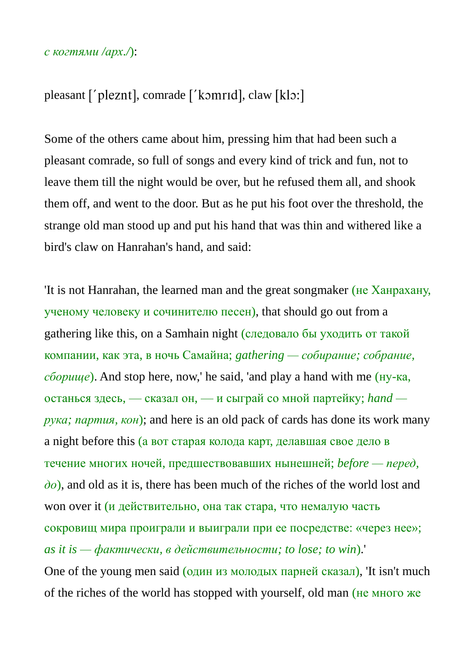#### *с когтями /арх./*):

### pleasant ['pleznt], comrade ['komrid], claw [klo:]

Some of the others came about him, pressing him that had been such a pleasant comrade, so full of songs and every kind of trick and fun, not to leave them till the night would be over, but he refused them all, and shook them off, and went to the door. But as he put his foot over the threshold, the strange old man stood up and put his hand that was thin and withered like a bird's claw on Hanrahan's hand, and said:

'It is not Hanrahan, the learned man and the great songmaker (не Ханрахану, ученому человеку и сочинителю песен), that should go out from a gathering like this, on a Samhain night (следовало бы уходить от такой компании, как эта, в ночь Самайна; *gathering — собирание; собрание, сборище*). And stop here, now,' he said, 'and play a hand with me (ну-ка, останься здесь, — сказал он, — и сыграй со мной партейку; *hand рука; партия, кон*); and here is an old pack of cards has done its work many a night before this (а вот старая колода карт, делавшая свое дело в течение многих ночей, предшествовавших нынешней; *before — перед, до*), and old as it is, there has been much of the riches of the world lost and won over it (и действительно, она так стара, что немалую часть сокровищ мира проиграли и выиграли при ее посредстве: «через нее»; *as it is — фактически, в действительности; to lose; to win*).' One of the young men said (один из молодых парней сказал), 'It isn't much

of the riches of the world has stopped with yourself, old man (не много же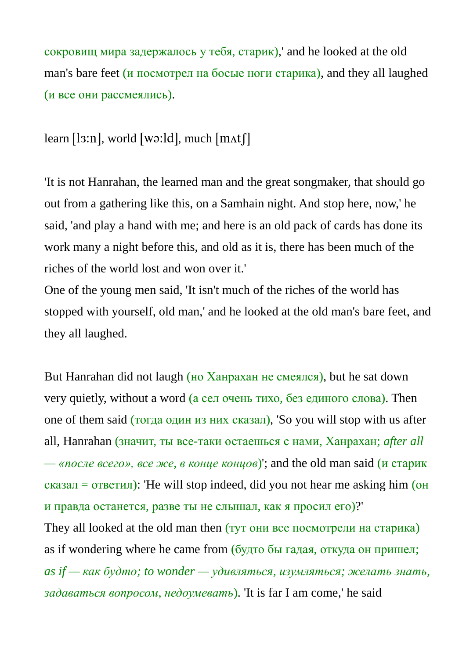сокровищ мира задержалось у тебя, старик),' and he looked at the old man's bare feet (и посмотрел на босые ноги старика), and they all laughed (и все они рассмеялись).

### learn [ls:n], world [wə:ld], much  $[\text{mat}]$ ]

'It is not Hanrahan, the learned man and the great songmaker, that should go out from a gathering like this, on a Samhain night. And stop here, now,' he said, 'and play a hand with me; and here is an old pack of cards has done its work many a night before this, and old as it is, there has been much of the riches of the world lost and won over it.'

One of the young men said, 'It isn't much of the riches of the world has stopped with yourself, old man,' and he looked at the old man's bare feet, and they all laughed.

But Hanrahan did not laugh (но Ханрахан не смеялся), but he sat down very quietly, without a word (а сел очень тихо, без единого слова). Then one of them said (тогда один из них сказал), 'So you will stop with us after all, Hanrahan (значит, ты все-таки остаешься с нами, Ханрахан; *after all — «после всего», все же, в конце концов*)'; and the old man said (и старик  $c$ казал = ответил): 'He will stop indeed, did you not hear me asking him (он и правда останется, разве ты не слышал, как я просил его)?'

They all looked at the old man then (тут они все посмотрели на старика) as if wondering where he came from (будто бы гадая, откуда он пришел; *as if — как будто; to wonder — удивляться, изумляться; желать знать, задаваться вопросом, недоумевать*). 'It is far I am come,' he said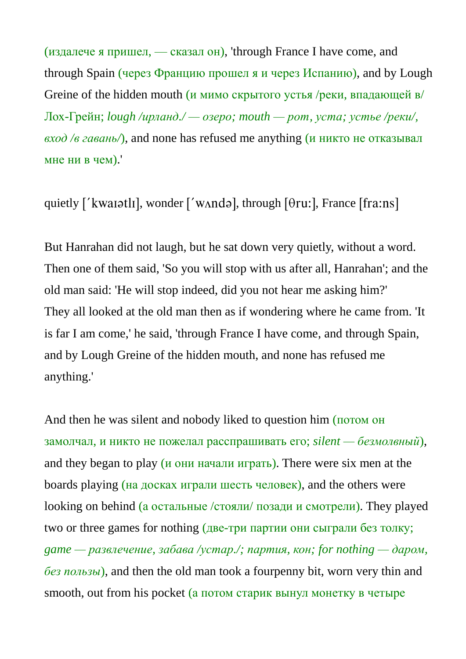(издалече я пришел, — сказал он), 'through France I have come, and through Spain (через Францию прошел я и через Испанию), and by Lough Greine of the hidden mouth (и мимо скрытого устья /реки, впадающей в/ Лох-Грейн; *lough /ирланд./ — озеро; mouth — рот, уста; устье /реки/, вход /в гавань/*), and none has refused me anything (и никто не отказывал мне ни в чем).'

quietly ['kwaiatli], wonder ['wʌndə], through  $[0$ ru:], France [fra:ns]

But Hanrahan did not laugh, but he sat down very quietly, without a word. Then one of them said, 'So you will stop with us after all, Hanrahan'; and the old man said: 'He will stop indeed, did you not hear me asking him?' They all looked at the old man then as if wondering where he came from. 'It is far I am come,' he said, 'through France I have come, and through Spain, and by Lough Greine of the hidden mouth, and none has refused me anything.'

And then he was silent and nobody liked to question him (потом он замолчал, и никто не пожелал расспрашивать его; *silent — безмолвный*), and they began to play (и они начали играть). There were six men at the boards playing (на досках играли шесть человек), and the others were looking on behind (а остальные /стояли/ позади и смотрели). They played two or three games for nothing (две-три партии они сыграли без толку; *game — развлечение, забава /устар./; партия, кон; for nothing — даром, без пользы*), and then the old man took a fourpenny bit, worn very thin and smooth, out from his pocket (а потом старик вынул монетку в четыре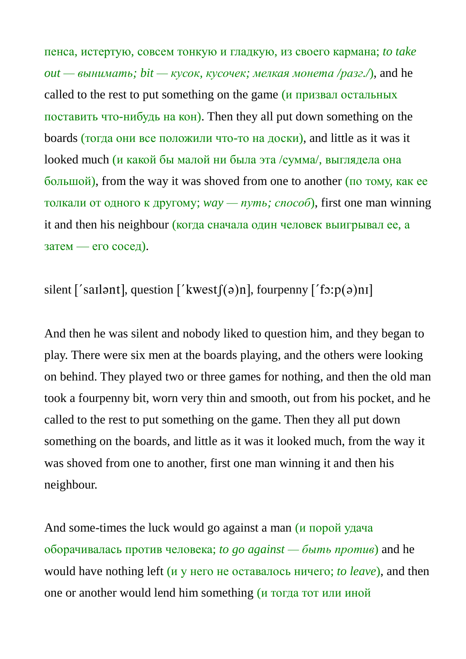пенса, истертую, совсем тонкую и гладкую, из своего кармана; *to take*   $out$  — вынимать; bit — кусок, кусочек; мелкая монета /paзг./), and he called to the rest to put something on the game (и призвал остальных поставить что-нибудь на кон). Then they all put down something on the boards (тогда они все положили что-то на доски), and little as it was it looked much (и какой бы малой ни была эта /сумма/, выглядела она большой), from the way it was shoved from one to another (по тому, как ее толкали от одного к другому; *way — путь; способ*), first one man winning it and then his neighbour (когда сначала один человек выигрывал ее, а затем — его сосед).

## silent ['sail and ], question ['kwest $f(a)$ n], fourpenny ['fo:p $(a)$ ni]

And then he was silent and nobody liked to question him, and they began to play. There were six men at the boards playing, and the others were looking on behind. They played two or three games for nothing, and then the old man took a fourpenny bit, worn very thin and smooth, out from his pocket, and he called to the rest to put something on the game. Then they all put down something on the boards, and little as it was it looked much, from the way it was shoved from one to another, first one man winning it and then his neighbour.

And some-times the luck would go against a man (и порой удача оборачивалась против человека; *to go against — быть против*) and he would have nothing left (и у него не оставалось ничего; *to leave*), and then one or another would lend him something (и тогда тот или иной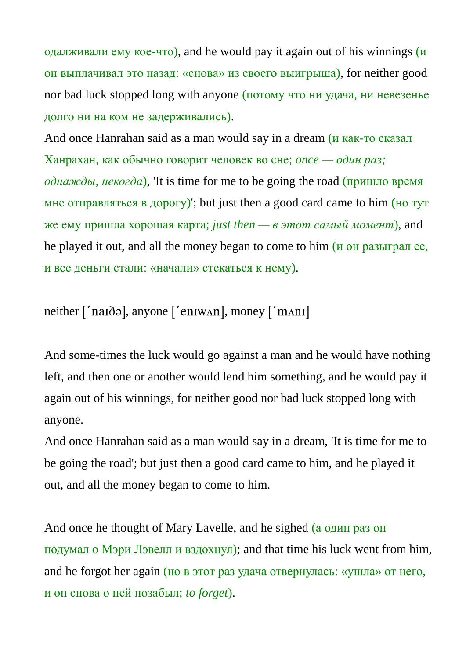одалживали ему кое-что), and he would pay it again out of his winnings  $(u)$ он выплачивал это назад: «снова» из своего выигрыша), for neither good nor bad luck stopped long with anyone (потому что ни удача, ни невезенье долго ни на ком не задерживались).

And once Hanrahan said as a man would say in a dream (и как-то сказал Ханрахан, как обычно говорит человек во сне; *once — один раз;*   $o$ *днажды, некогда*), 'It is time for me to be going the road (пришло время мне отправляться в дорогу)'; but just then a good card came to him (но тут же ему пришла хорошая карта; *just then* —  $\epsilon$  этот *самый момент*), and he played it out, and all the money began to come to him (и он разыграл ее, и все деньги стали: «начали» стекаться к нему).

neither ['naɪðə], anyone ['enɪwʌn], money ['mʌnɪ]

And some-times the luck would go against a man and he would have nothing left, and then one or another would lend him something, and he would pay it again out of his winnings, for neither good nor bad luck stopped long with anyone.

And once Hanrahan said as a man would say in a dream, 'It is time for me to be going the road'; but just then a good card came to him, and he played it out, and all the money began to come to him.

And once he thought of Mary Lavelle, and he sighed (а один раз он подумал о Мэри Лэвелл и вздохнул); and that time his luck went from him, and he forgot her again (но в этот раз удача отвернулась: «ушла» от него, и он снова о ней позабыл; *to forget*).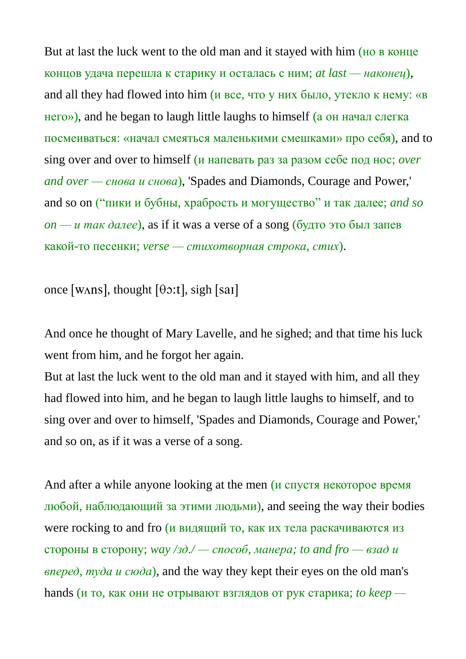But at last the luck went to the old man and it stayed with him (но в конце концов удача перешла к старику и осталась с ним; *at last — наконец*), and all they had flowed into him (и все, что у них было, утекло к нему: «в него»), and he began to laugh little laughs to himself (а он начал слегка посмеиваться: «начал смеяться маленькими смешками» про себя), and to sing over and over to himself (и напевать раз за разом себе под нос; *over and over — снова и снова*), 'Spades and Diamonds, Courage and Power,' and so on ("пики и бубны, храбрость и могущество" и так далее; *and so*   $\alpha - \mu$  *так далее*), as if it was a verse of a song (будто это был запев какой-то песенки; *verse — стихотворная строка, стих*).

once [WAns], thought  $[\theta \circ t]$ , sigh [sai]

And once he thought of Mary Lavelle, and he sighed; and that time his luck went from him, and he forgot her again.

But at last the luck went to the old man and it stayed with him, and all they had flowed into him, and he began to laugh little laughs to himself, and to sing over and over to himself, 'Spades and Diamonds, Courage and Power,' and so on, as if it was a verse of a song.

And after a while anyone looking at the men (*и* спустя некоторое время любой, наблюдающий за этими людьми), and seeing the way their bodies were rocking to and fro (*и видящий то*, как их тела раскачиваются из стороны в сторону; *way /зд./ — способ, манера; to and fro — взад и вперед, туда и сюда*), and the way they kept their eyes on the old man's hands (и то, как они не отрывают взглядов от рук старика; *to keep —*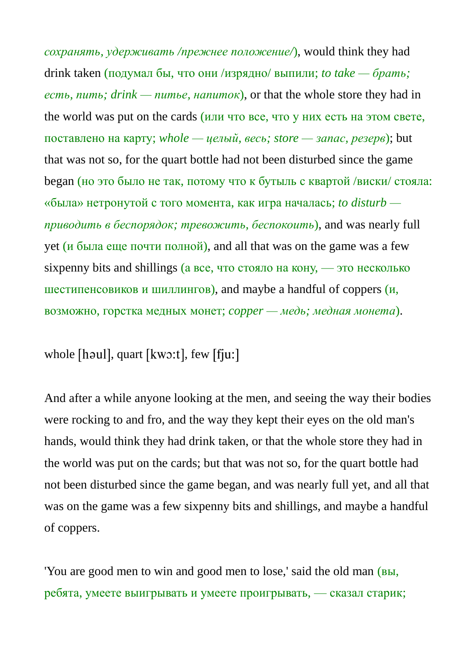*сохранять, удерживать /прежнее положение/*), would think they had drink taken (подумал бы, что они /изрядно/ выпили; *to take — брать; есть, пить; drink — питье, напиток*), or that the whole store they had in the world was put on the cards (или что все, что у них есть на этом свете, поставлено на карту; *whole — целый, весь; store — запас, резерв*); but that was not so, for the quart bottle had not been disturbed since the game began (но это было не так, потому что к бутыль с квартой /виски/ стояла: «была» нетронутой с того момента, как игра началась; *to disturb приводить в беспорядок; тревожить, беспокоить*), and was nearly full yet ( $\mu$  была еще почти полной), and all that was on the game was a few sixpenny bits and shillings (а все, что стояло на кону, — это несколько шестипенсовиков и шиллингов), and maybe a handful of coppers  $(u,$ возможно, горстка медных монет; *copper — медь; медная монета*).

whole  $[$ haul $]$ , quart  $[kw:1]$ , few  $[$ f $ju:$  $]$ 

And after a while anyone looking at the men, and seeing the way their bodies were rocking to and fro, and the way they kept their eyes on the old man's hands, would think they had drink taken, or that the whole store they had in the world was put on the cards; but that was not so, for the quart bottle had not been disturbed since the game began, and was nearly full yet, and all that was on the game was a few sixpenny bits and shillings, and maybe a handful of coppers.

'You are good men to win and good men to lose,' said the old man (вы, ребята, умеете выигрывать и умеете проигрывать, — сказал старик;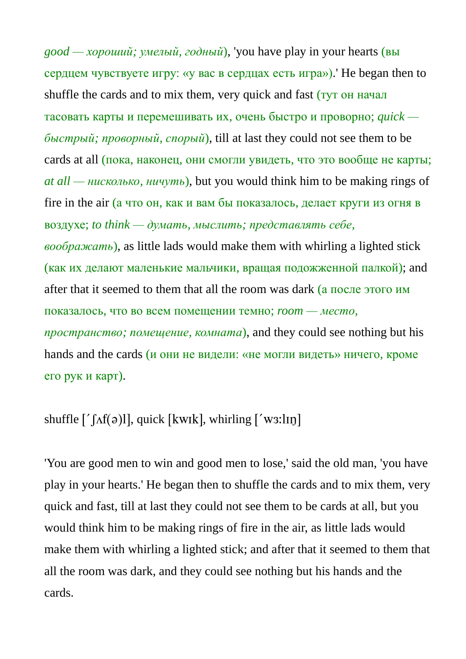*good — хороший; умелый, годный*), 'you have play in your hearts (вы сердцем чувствуете игру: «у вас в сердцах есть игра»).' He began then to shuffle the cards and to mix them, very quick and fast (*тут* он начал тасовать карты и перемешивать их, очень быстро и проворно; *quick быстрый; проворный, спорый*), till at last they could not see them to be cards at all (пока, наконец, они смогли увидеть, что это вообще не карты; *at all — нисколько, ничуть*), but you would think him to be making rings of fire in the air (а что он, как и вам бы показалось, делает круги из огня в воздухе; *to think — думать, мыслить; представлять себе, воображать*), as little lads would make them with whirling a lighted stick (как их делают маленькие мальчики, вращая подожженной палкой); and after that it seemed to them that all the room was dark (а после этого им показалось, что во всем помещении темно; *room — место, пространство; помещение, комната*), and they could see nothing but his hands and the cards (и они не видели: «не могли видеть» ничего, кроме его рук и карт).

### shuffle  $\lceil \int \Lambda f(\sigma)l \rceil$ , quick  $\lceil \text{kwlk} \rceil$ , whirling  $\lceil \text{ws:lin} \rceil$

'You are good men to win and good men to lose,' said the old man, 'you have play in your hearts.' He began then to shuffle the cards and to mix them, very quick and fast, till at last they could not see them to be cards at all, but you would think him to be making rings of fire in the air, as little lads would make them with whirling a lighted stick; and after that it seemed to them that all the room was dark, and they could see nothing but his hands and the cards.